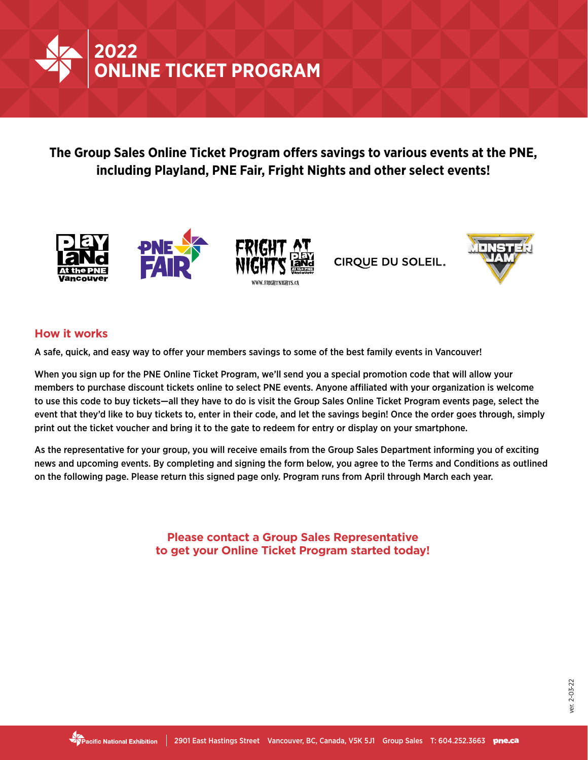

**The Group Sales Online Ticket Program offers savings to various events at the PNE, including Playland, PNE Fair, Fright Nights and other select events!**







**CIRQUE DU SOLEIL.** 



## **How it works**

A safe, quick, and easy way to offer your members savings to some of the best family events in Vancouver!

When you sign up for the PNE Online Ticket Program, we'll send you a special promotion code that will allow your members to purchase discount tickets online to select PNE events. Anyone affiliated with your organization is welcome to use this code to buy tickets—all they have to do is visit the Group Sales Online Ticket Program events page, select the event that they'd like to buy tickets to, enter in their code, and let the savings begin! Once the order goes through, simply print out the ticket voucher and bring it to the gate to redeem for entry or display on your smartphone.

As the representative for your group, you will receive emails from the Group Sales Department informing you of exciting news and upcoming events. By completing and signing the form below, you agree to the Terms and Conditions as outlined on the following page. Please return this signed page only. Program runs from April through March each year.

> **Please contact a Group Sales Representative to get your Online Ticket Program started today!**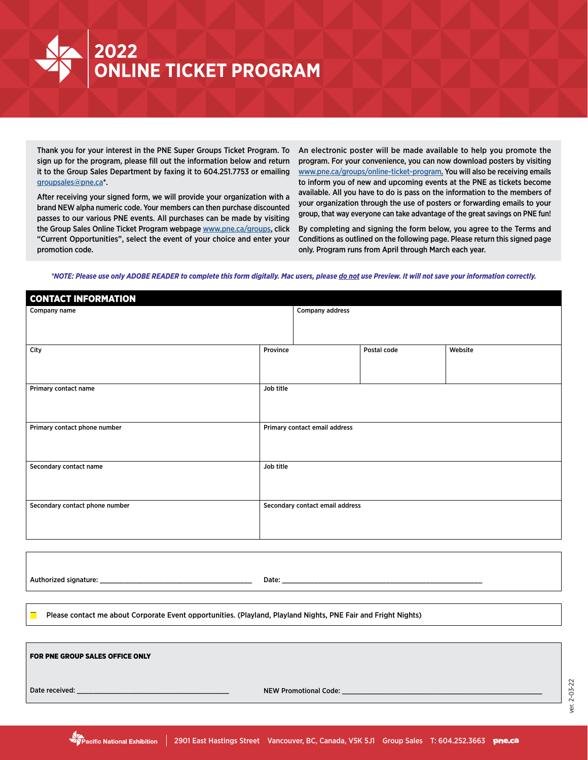

Thank you for your interest in the PNE Super Groups Ticket Program. To sign up for the program, please fill out the information below and return it to the Group Sales Department by faxing it to 604.251.7753 or emailing [groupsales@pne.ca](mailto:groupsales%40pne.ca?subject=PNE%20Super%20Groups%20Ticket%20Program)\*.

After receiving your signed form, we will provide your organization with a brand NEW alpha numeric code. Your members can then purchase discounted passes to our various PNE events. All purchases can be made by visiting the Group Sales Online Ticket Program webpage [www.pne.ca/groups,](http://www.pne.ca/groups) click "Current Opportunities", select the event of your choice and enter your promotion code.

An electronic poster will be made available to help you promote the program. For your convenience, you can now download posters by visiting [www.pne.ca/groups/online-ticket-program.](www.pne.ca/groups/online-ticket-program) You will also be receiving emails to inform you of new and upcoming events at the PNE as tickets become available. All you have to do is pass on the information to the members of your organization through the use of posters or forwarding emails to your group, that way everyone can take advantage of the great savings on PNE fun!

By completing and signing the form below, you agree to the Terms and Conditions as outlined on the following page. Please return this signed page only. Program runs from April through March each year.

#### *\*NOTE: Please use only ADOBE READER to complete this form digitally. Mac users, please do not use Preview. It will not save your information correctly.*

| <b>CONTACT INFORMATION</b>     |                                 |                 |             |         |
|--------------------------------|---------------------------------|-----------------|-------------|---------|
| Company name                   |                                 | Company address |             |         |
| City                           | Province                        |                 | Postal code | Website |
| Primary contact name           | Job title                       |                 |             |         |
| Primary contact phone number   | Primary contact email address   |                 |             |         |
| Secondary contact name         | Job title                       |                 |             |         |
| Secondary contact phone number | Secondary contact email address |                 |             |         |

Authorized signature: \_\_\_\_\_\_\_\_\_\_\_\_\_\_\_\_\_\_\_\_\_\_\_\_\_\_\_\_\_\_\_\_\_\_\_\_\_\_ Date: \_\_\_\_\_\_\_\_\_\_\_\_\_\_\_\_\_\_\_\_\_\_\_\_\_\_\_\_\_\_\_\_\_\_\_\_\_\_\_\_\_\_\_\_\_\_\_\_\_\_

Please contact me about Corporate Event opportunities. (Playland, Playland Nights, PNE Fair and Fright Nights)

FOR PNE GROUP SALES OFFICE ONLY Date received: \_\_\_\_\_\_\_\_\_\_\_\_\_\_\_\_\_\_\_\_\_\_\_\_\_\_\_\_\_\_\_\_\_\_\_\_\_\_ NEW Promotional Code: \_\_\_\_\_\_\_\_\_\_\_\_\_\_\_\_\_\_\_\_\_\_\_\_\_\_\_\_\_\_\_\_\_\_\_\_\_\_\_\_\_\_\_\_\_\_\_\_\_\_